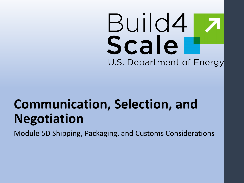# Build4 Scale U.S. Department of Energy

# **Communication, Selection, and Negotiation**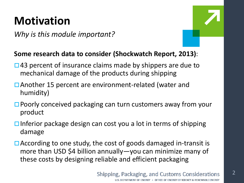### **Motivation**

*Why is this module important?*



#### **Some research data to consider (Shockwatch Report, 2013)**:

- $\Box$  43 percent of insurance claims made by shippers are due to mechanical damage of the products during shipping
- □ Another 15 percent are environment-related (water and humidity)
- □ Poorly conceived packaging can turn customers away from your product
- $\Box$  Inferior package design can cost you a lot in terms of shipping damage
- $\Box$  According to one study, the cost of goods damaged in-transit is more than USD \$4 billion annually—you can minimize many of these costs by designing reliable and efficient packaging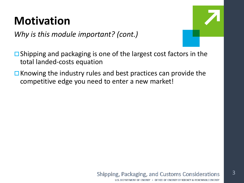### **Motivation**

*Why is this module important? (cont.)*

 $\Box$  Shipping and packaging is one of the largest cost factors in the total landed-costs equation

 $\Box$  Knowing the industry rules and best practices can provide the competitive edge you need to enter a new market!

#### **Shipping, Packaging, and Customs Considerations**

3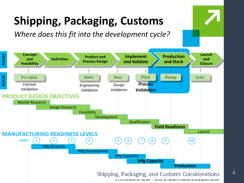# **Shipping, Packaging, Customs**

*Where does this fit into the development cycle?*

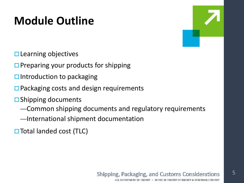### **Module Outline**

- $\square$  Learning objectives
- $\square$  Preparing your products for shipping
- $\square$  Introduction to packaging
- $\Box$  Packaging costs and design requirements
- $\square$  Shipping documents
	- —Common shipping documents and regulatory requirements
	- —International shipment documentation
- $\Box$  Total landed cost (TLC)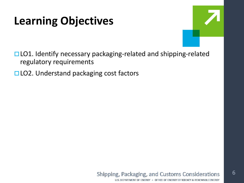### **Learning Objectives**



- □ LO1. Identify necessary packaging-related and shipping-related regulatory requirements
- □ LO2. Understand packaging cost factors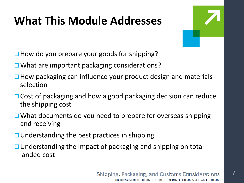### **What This Module Addresses**



 $\Box$  How do you prepare your goods for shipping?

- $\Box$  What are important packaging considerations?
- $\Box$  How packaging can influence your product design and materials selection
- $\Box$  Cost of packaging and how a good packaging decision can reduce the shipping cost
- $\Box$  What documents do you need to prepare for overseas shipping and receiving
- $\Box$  Understanding the best practices in shipping
- $\Box$  Understanding the impact of packaging and shipping on total landed cost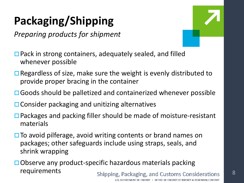# **Packaging/Shipping**

*Preparing products for shipment*



- **□ Pack in strong containers, adequately sealed, and filled** whenever possible
- $\Box$  Regardless of size, make sure the weight is evenly distributed to provide proper bracing in the container
- □ Goods should be palletized and containerized whenever possible
- $\Box$  Consider packaging and unitizing alternatives
- □ Packages and packing filler should be made of moisture-resistant materials
- $\Box$  To avoid pilferage, avoid writing contents or brand names on packages; other safeguards include using straps, seals, and shrink wrapping
- Observe any product-specific hazardous materials packing requirements Shipping, Packaging, and Customs Considerations 8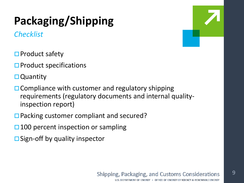# **Packaging/Shipping**

*Checklist*

- $\square$  Product safety
- $\square$  Product specifications
- **□** Quantity
- $\Box$  Compliance with customer and regulatory shipping requirements (regulatory documents and internal qualityinspection report)
- □ Packing customer compliant and secured?
- $\Box$  100 percent inspection or sampling
- $\square$  Sign-off by quality inspector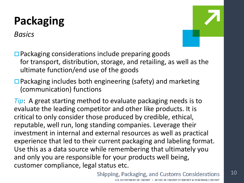*Basics*



 $\square$  Packaging considerations include preparing goods for transport, distribution, storage, and retailing, as well as the ultimate function/end use of the goods

 $\Box$  Packaging includes both engineering (safety) and marketing (communication) functions

*Tip*: A great starting method to evaluate packaging needs is to evaluate the leading competitor and other like products. It is critical to only consider those produced by credible, ethical, reputable, well run, long standing companies. Leverage their investment in internal and external resources as well as practical experience that led to their current packaging and labeling format. Use this as a data source while remembering that ultimately you and only you are responsible for your products well being, customer compliance, legal status etc.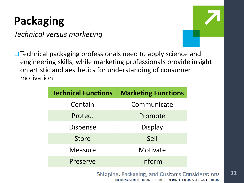*Technical versus marketing*



 $\Box$  Technical packaging professionals need to apply science and engineering skills, while marketing professionals provide insight on artistic and aesthetics for understanding of consumer motivation

| <b>Technical Functions</b> | <b>Marketing Functions</b> |
|----------------------------|----------------------------|
| Contain                    | Communicate                |
| Protect                    | Promote                    |
| <b>Dispense</b>            | Display                    |
| <b>Store</b>               | Sell                       |
| <b>Measure</b>             | Motivate                   |
| Preserve                   | Inform                     |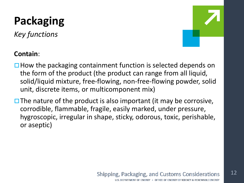*Key functions*



#### **Contain**:

- $\Box$  How the packaging containment function is selected depends on the form of the product (the product can range from all liquid, solid/liquid mixture, free-flowing, non-free-flowing powder, solid unit, discrete items, or multicomponent mix)
- $\Box$  The nature of the product is also important (it may be corrosive, corrodible, flammable, fragile, easily marked, under pressure, hygroscopic, irregular in shape, sticky, odorous, toxic, perishable, or aseptic)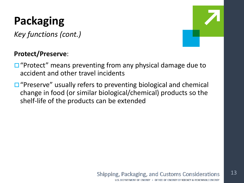*Key functions (cont.)*

### **Protect/Preserve**:

- $\Box$  "Protect" means preventing from any physical damage due to accident and other travel incidents
- $\Box$  "Preserve" usually refers to preventing biological and chemical change in food (or similar biological/chemical) products so the shelf-life of the products can be extended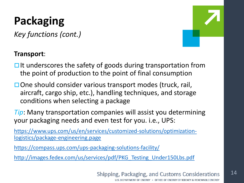*Key functions (cont.)*



#### **Transport**:

- $\Box$  It underscores the safety of goods during transportation from the point of production to the point of final consumption
- $\square$  One should consider various transport modes (truck, rail, aircraft, cargo ship, etc.), handling techniques, and storage conditions when selecting a package

*Tip*: Many transportation companies will assist you determining your packaging needs and even test for you. i.e., UPS:

[https://www.ups.com/us/en/services/customized-solutions/optimization](https://www.ups.com/us/en/services/customized-solutions/optimization-logistics/package-engineering.page)logistics/package-engineering.page

<https://compass.ups.com/ups-packaging-solutions-facility/>

http://images.fedex.com/us/services/pdf/PKG Testing Under150Lbs.pdf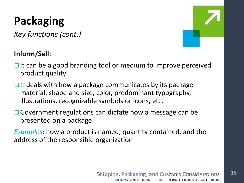*Key functions (cont.)*

### **Inform/Sell**:

- 
- $\Box$  It can be a good branding tool or medium to improve perceived product quality
- $\Box$  It deals with how a package communicates by its package material, shape and size, color, predominant typography, illustrations, recognizable symbols or icons, etc.
- **□** Government regulations can dictate how a message can be presented on a package
- *Examples*: how a product is named, quantity contained, and the address of the responsible organization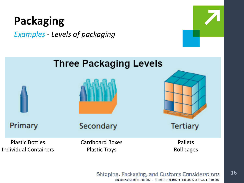*Examples - Levels of packaging*



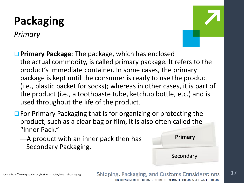*Primary*



- **Primary Package:** The package, which has enclosed the actual commodity, is called primary package. It refers to the product's immediate container. In some cases, the primary package is kept until the consumer is ready to use the product (i.e., plastic packet for socks); whereas in other cases, it is part of the product (i.e., a toothpaste tube, ketchup bottle, etc.) and is used throughout the life of the product.
- $\Box$  For Primary Packaging that is for organizing or protecting the product, such as a clear bag or film, it is also often called the "Inner Pack."
	- —A product with an inner pack then has Secondary Packaging.



Source: http://www.qsstudy.com/business-studies/levels-of-packaging

**Shipping, Packaging, and Customs Considerations** 

U.S. DEPARTMENT OF ENERGY . OFFICE OF ENERGY EFFICIENCY & RENEWABLE ENERGY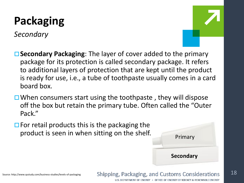*Secondary*



- **Secondary Packaging**: The layer of cover added to the primary package for its protection is called secondary package. It refers to additional layers of protection that are kept until the product is ready for use, i.e., a tube of toothpaste usually comes in a card board box.
- $\Box$  When consumers start using the toothpaste, they will dispose off the box but retain the primary tube. Often called the "Outer Pack."
- $\Box$  For retail products this is the packaging the product is seen in when sitting on the shelf.

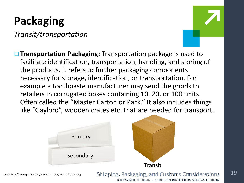*Transit/transportation*



19

**Transportation Packaging**: Transportation package is used to facilitate identification, transportation, handling, and storing of the products. It refers to further packaging components necessary for storage, identification, or transportation. For example a toothpaste manufacturer may send the goods to retailers in corrugated boxes containing 10, 20, or 100 units. Often called the "Master Carton or Pack." It also includes things like "Gaylord", wooden crates etc. that are needed for transport.



Source: http://www.qsstudy.com/business-studies/levels-of-packaging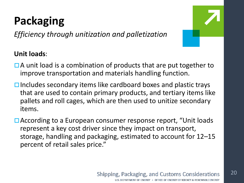*Efficiency through unitization and palletization*

20

### **Unit loads**:

- $\Box$  A unit load is a combination of products that are put together to improve transportation and materials handling function.
- $\Box$  Includes secondary items like cardboard boxes and plastic trays that are used to contain primary products, and tertiary items like pallets and roll cages, which are then used to unitize secondary items.
- □ According to a European consumer response report, "Unit loads represent a key cost driver since they impact on transport, storage, handling and packaging, estimated to account for 12–15 percent of retail sales price."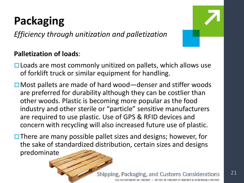*Efficiency through unitization and palletization*

#### **Palletization of loads**:

21

- $\Box$  Loads are most commonly unitized on pallets, which allows use of forklift truck or similar equipment for handling.
- □ Most pallets are made of hard wood—denser and stiffer woods are preferred for durability although they can be costlier than other woods. Plastic is becoming more popular as the food industry and other sterile or "particle" sensitive manufacturers are required to use plastic. Use of GPS & RFID devices and concern with recycling will also increased future use of plastic.
- $\Box$  There are many possible pallet sizes and designs; however, for the sake of standardized distribution, certain sizes and designs predominate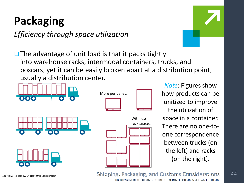*Efficiency through space utilization*



 $\Box$  The advantage of unit load is that it packs tightly into warehouse racks, intermodal containers, trucks, and boxcars; yet it can be easily broken apart at a distribution point, usually a distribution center.



*Note*: Figures show how products can be unitized to improve the utilization of space in a container. There are no one-toone correspondence between trucks (on the left) and racks (on the right).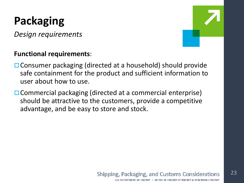*Design requirements*

#### **Functional requirements**:

- □ Consumer packaging (directed at a household) should provide safe containment for the product and sufficient information to user about how to use.
- **□ Commercial packaging (directed at a commercial enterprise)** should be attractive to the customers, provide a competitive advantage, and be easy to store and stock.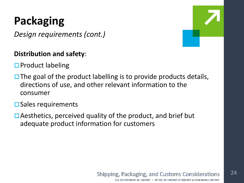*Design requirements (cont.)*

### **Distribution and safety**:

- $\square$  Product labeling
- $\Box$  The goal of the product labelling is to provide products details, directions of use, and other relevant information to the consumer

#### $\square$  Sales requirements

 $\Box$  Aesthetics, perceived quality of the product, and brief but adequate product information for customers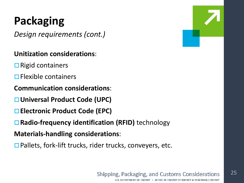*Design requirements (cont.)*

#### **Unitization considerations**:

- $\Box$  Rigid containers
- $\Box$  Flexible containers
- **Communication considerations**:
- **Universal Product Code (UPC)**
- **Electronic Product Code (EPC)**
- Radio-frequency identification (RFID) technology

**Materials-handling considerations**:

 $\Box$  Pallets, fork-lift trucks, rider trucks, conveyers, etc.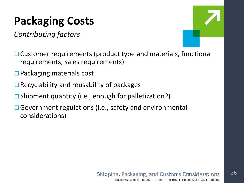### **Packaging Costs**

*Contributing factors*



- **□ Customer requirements (product type and materials, functional** requirements, sales requirements)
- $\square$  Packaging materials cost
- $\Box$  Recyclability and reusability of packages
- $\square$  Shipment quantity (i.e., enough for palletization?)
- **□ Government regulations (i.e., safety and environmental** considerations)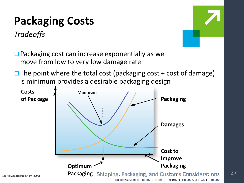### **Packaging Costs**

*Tradeoffs*



□ Packaging cost can increase exponentially as we move from low to very low damage rate

 $\Box$  The point where the total cost (packaging cost + cost of damage) is minimum provides a desirable packaging design

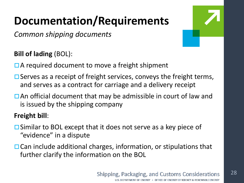*Common shipping documents*

**Bill of lading** (BOL):

- **□A required document to move a freight shipment**
- $\Box$  Serves as a receipt of freight services, conveys the freight terms, and serves as a contract for carriage and a delivery receipt
- $\Box$  An official document that may be admissible in court of law and is issued by the shipping company

### **Freight bill**:

- $\square$  Similar to BOL except that it does not serve as a key piece of "evidence" in a dispute
- $\Box$  Can include additional charges, information, or stipulations that further clarify the information on the BOL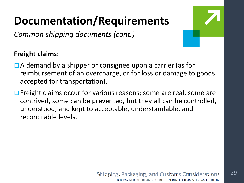*Common shipping documents (cont.)*

### **Freight claims**:

- $\Box$  A demand by a shipper or consignee upon a carrier (as for reimbursement of an overcharge, or for loss or damage to goods accepted for transportation).
- $\Box$  Freight claims occur for various reasons; some are real, some are contrived, some can be prevented, but they all can be controlled, understood, and kept to acceptable, understandable, and reconcilable levels.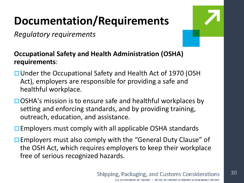*Regulatory requirements*



30

**Occupational Safety and Health Administration (OSHA) requirements**:

- □ Under the Occupational Safety and Health Act of 1970 (OSH Act), employers are responsible for providing a safe and healthful workplace.
- $\Box$  OSHA's mission is to ensure safe and healthful workplaces by setting and enforcing standards, and by providing training, outreach, education, and assistance.

 $\square$  Employers must comply with all applicable OSHA standards

□ Employers must also comply with the "General Duty Clause" of the OSH Act, which requires employers to keep their workplace free of serious recognized hazards.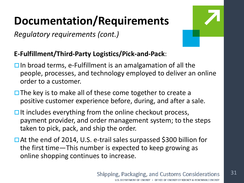*Regulatory requirements (cont.)*



### **E-Fulfillment/Third-Party Logistics/Pick-and-Pack**:

- $\Box$  In broad terms, e-Fulfillment is an amalgamation of all the people, processes, and technology employed to deliver an online order to a customer.
- $\Box$  The key is to make all of these come together to create a positive customer experience before, during, and after a sale.
- $\Box$  It includes everything from the online checkout process, payment provider, and order management system; to the steps taken to pick, pack, and ship the order.
- At the end of 2014, U.S. e-trail sales surpassed \$300 billion for the first time—This number is expected to keep growing as online shopping continues to increase.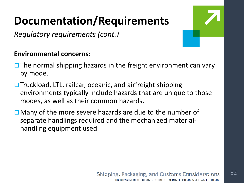*Regulatory requirements (cont.)*

#### **Environmental concerns**:

- $\Box$  The normal shipping hazards in the freight environment can vary by mode.
- $\Box$  Truckload, LTL, railcar, oceanic, and airfreight shipping environments typically include hazards that are unique to those modes, as well as their common hazards.
- $\Box$  Many of the more severe hazards are due to the number of separate handlings required and the mechanized materialhandling equipment used.

32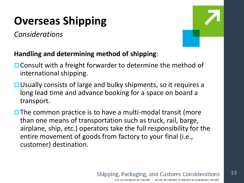## **Overseas Shipping**

*Considerations*



### **Handling and determining method of shipping**:

- $\Box$  Consult with a freight forwarder to determine the method of international shipping.
- **□ Usually consists of large and bulky shipments, so it requires a** long lead time and advance booking for a space on board a transport.
- $\square$  The common practice is to have a multi-modal transit (more than one means of transportation such as truck, rail, barge, airplane, ship, etc.) operators take the full responsibility for the entire movement of goods from factory to your final (i.e., customer) destination.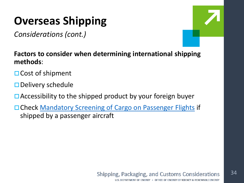### **Overseas Shipping**

*Considerations (cont.)*



**Factors to consider when determining international shipping methods**:

- $\Box$  Cost of shipment
- $\square$  Delivery schedule
- $\Box$  Accessibility to the shipped product by your foreign buyer
- □ Check [Mandatory Screening of Cargo on Passenger Flights](http://2016.export.gov/articles/eg_main_021809.asp) if shipped by a passenger aircraft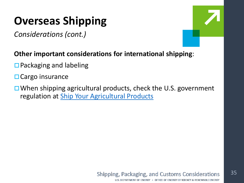### **Overseas Shipping**

*Considerations (cont.)*



#### **Other important considerations for international shipping**:

- $\Box$  Packaging and labeling
- $\Box$  Cargo insurance
- $\Box$  When shipping agricultural products, check the U.S. government regulation at [Ship Your Agricultural Products](https://www.export.gov/article?id=Sector-Specific-Considerations-Agricultural-Products)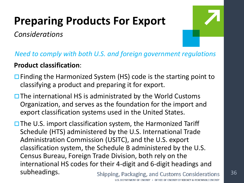## **Preparing Products For Export**

*Considerations*



*Need to comply with both U.S. and foreign government regulations*

### **Product classification**:

- $\Box$  Finding the Harmonized System (HS) code is the starting point to classifying a product and preparing it for export.
- $\Box$  The international HS is administrated by the World Customs Organization, and serves as the foundation for the import and export classification systems used in the United States.

 $\Box$  The U.S. import classification system, the Harmonized Tariff Schedule (HTS) administered by the U.S. International Trade Administration Commission (USITC), and the U.S. export classification system, the Schedule B administered by the U.S. Census Bureau, Foreign Trade Division, both rely on the international HS codes for their 4-digit and 6-digit headings and subheadings. Shipping, Packaging, and Customs Considerations 36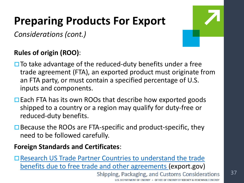### **Preparing Products For Export**

*Considerations (cont.)*

### **Rules of origin (ROO)**:

 $\Box$  To take advantage of the reduced-duty benefits under a free trade agreement (FTA), an exported product must originate from an FTA party, or must contain a specified percentage of U.S. inputs and components.

- $\Box$  Each FTA has its own ROOs that describe how exported goods shipped to a country or a region may qualify for duty-free or reduced-duty benefits.
- $\Box$  Because the ROOs are FTA-specific and product-specific, they need to be followed carefully.

#### **Foreign Standards and Certificates**:

Research US Trade Partner Countries to understand the trade [benefits due to free trade and other agreements \(export.gov\)](https://www.export.gov/article?id=Foreign-Standards-and-Certification)

> **Shipping, Packaging, and Customs Considerations** DEPARTMENT OF ENERGY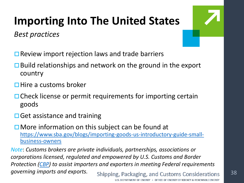## **Importing Into The United States**

*Best practices*



- $\Box$  Review import rejection laws and trade barriers
- $\Box$  Build relationships and network on the ground in the export country
- $\Box$  Hire a customs broker
- $\Box$  Check license or permit requirements for importing certain goods
- $\Box$  Get assistance and training
- $\Box$  More information on this subject can be found at [https://www.sba.gov/blogs/importing-goods-us-introductory-guide-small](https://www.sba.gov/blogs/importing-goods-us-introductory-guide-small-business-owners)business-owners

*Note*: *Customs brokers are private individuals, partnerships, associations or corporations licensed, regulated and empowered by U.S. Customs and Border Protection [\(CBP\)](https://www.cbp.gov/trade/programs-administration/customs-brokers/becoming-customs-broker) to assist importers and exporters in meeting Federal requirements governing imports and exports.***Shipping, Packaging, and Customs Considerations**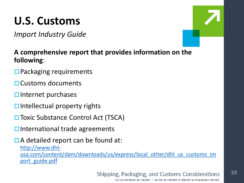# **U.S. Customs**

*Import Industry Guide*

**A comprehensive report that provides information on the following**:

- $\Box$  Packaging requirements
- Customs documents
- $\square$  Internet purchases
- $\Box$  Intellectual property rights
- **□ Toxic Substance Control Act (TSCA)**
- $\square$  International trade agreements

 $\Box$  A detailed report can be found at:

http://www.dhl[usa.com/content/dam/downloads/us/express/local\\_other/dhl\\_us\\_customs\\_im](http://www.dhl-usa.com/content/dam/downloads/us/express/local_other/dhl_us_customs_import_guide.pdf) port\_guide.pdf

#### **Shipping, Packaging, and Customs Considerations** U.S. DEPARTMENT OF ENERGY . OFFICE OF ENERGY EFFICIENCY & RENEWABLE ENERGY

39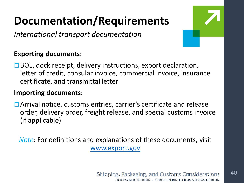*International transport documentation*

#### **Exporting documents**:

 $\Box$  BOL, dock receipt, delivery instructions, export declaration, letter of credit, consular invoice, commercial invoice, insurance certificate, and transmittal letter

#### **Importing documents**:

□ Arrival notice, customs entries, carrier's certificate and release order, delivery order, freight release, and special customs invoice (if applicable)

*Note*: For definitions and explanations of these documents, visit [www.export.gov](https://www.export.gov/welcome)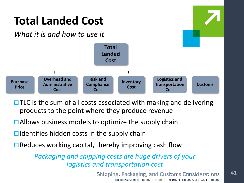

 $\Box$  TLC is the sum of all costs associated with making and delivering products to the point where they produce revenue

- $\Box$  Allows business models to optimize the supply chain
- $\Box$  Identifies hidden costs in the supply chain
- $\Box$  Reduces working capital, thereby improving cash flow

*Packaging and shipping costs are huge drivers of your logistics and transportation cost*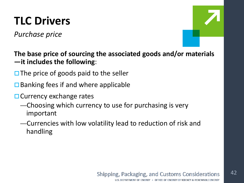*Purchase price*

**The base price of sourcing the associated goods and/or materials —it includes the following**:

- $\Box$  The price of goods paid to the seller
- $\Box$  Banking fees if and where applicable
- $\Box$  Currency exchange rates
	- —Choosing which currency to use for purchasing is very important
	- —Currencies with low volatility lead to reduction of risk and handling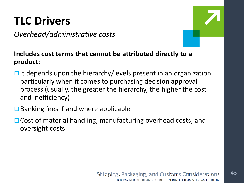### *Overhead/administrative costs*



#### **Includes cost terms that cannot be attributed directly to a product**:

- $\Box$  It depends upon the hierarchy/levels present in an organization particularly when it comes to purchasing decision approval process (usually, the greater the hierarchy, the higher the cost and inefficiency)
- $\Box$  Banking fees if and where applicable
- $\Box$  Cost of material handling, manufacturing overhead costs, and oversight costs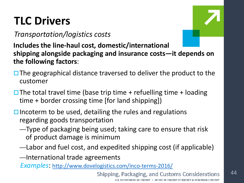### *Transportation/logistics costs*

**Includes the line-haul cost, domestic/international shipping alongside packaging and insurance costs—it depends on the following factors**:

- $\Box$  The geographical distance traversed to deliver the product to the customer
- $\square$  The total travel time (base trip time + refuelling time + loading time + border crossing time [for land shipping])
- $\square$  Incoterm to be used, detailing the rules and regulations regarding goods transportation
	- —Type of packaging being used; taking care to ensure that risk of product damage is minimum
	- —Labor and fuel cost, and expedited shipping cost (if applicable)
	- —International trade agreements

*Examples*:<http://www.dovelogistics.com/inco-terms-2016/>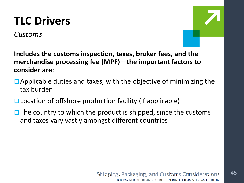### *Customs*



**Includes the customs inspection, taxes, broker fees, and the merchandise processing fee (MPF)—the important factors to consider are**:

- $\Box$  Applicable duties and taxes, with the objective of minimizing the tax burden
- $\Box$  Location of offshore production facility (if applicable)
- $\Box$  The country to which the product is shipped, since the customs and taxes vary vastly amongst different countries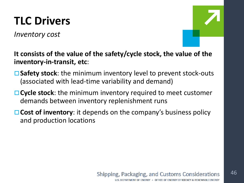*Inventory cost*



#### **It consists of the value of the safety/cycle stock, the value of the inventory-in-transit, etc**:

- **Safety stock**: the minimum inventory level to prevent stock-outs (associated with lead-time variability and demand)
- **Cycle stock**: the minimum inventory required to meet customer demands between inventory replenishment runs
- **□ Cost of inventory**: it depends on the company's business policy and production locations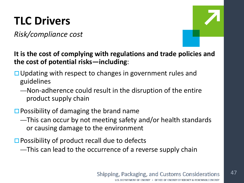*Risk/compliance cost*



**It is the cost of complying with regulations and trade policies and the cost of potential risks—including**:

- $\Box$  Updating with respect to changes in government rules and guidelines
	- —Non-adherence could result in the disruption of the entire product supply chain
- $\Box$  Possibility of damaging the brand name
	- —This can occur by not meeting safety and/or health standards or causing damage to the environment
- $\square$  Possibility of product recall due to defects
	- —This can lead to the occurrence of a reverse supply chain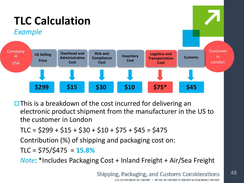

 $\Box$  This is a breakdown of the cost incurred for delivering an electronic product shipment from the manufacturer in the US to the customer in London

$$
TLC = $299 + $15 + $30 + $10 + $75 + $45 = $475
$$

Contribution (%) of shipping and packaging cost on:

TLC = \$75/\$475 = **15.8%**

*Note*: \*Includes Packaging Cost + Inland Freight + Air/Sea Freight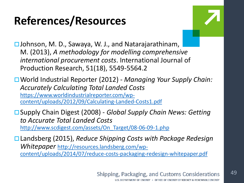

**□Johnson, M. D., Sawaya, W. J., and Natarajarathinam,** M. (2013), *A methodology for modelling comprehensive international procurement costs*. International Journal of Production Research, 51(18), 5549-5564.2

World Industrial Reporter (2012) - *Managing Your Supply Chain: Accurately Calculating Total Landed Costs*  https://www.worldindustrialreporter.com/wp[content/uploads/2012/09/Calculating-Landed-Costs1.pdf](https://www.worldindustrialreporter.com/wp-content/uploads/2012/09/Calculating-Landed-Costs1.pdf)

Supply Chain Digest (2008) - *Global Supply Chain News: Getting to Accurate Total Landed Costs*  [http://www.scdigest.com/assets/On\\_Target/08-06-09-1.php](http://www.scdigest.com/assets/On_Target/08-06-09-1.php)

Landsberg (2015), *Reduce Shipping Costs with Package Redesign Whitepaper* http://resources.landsberg.com/wp[content/uploads/2014/07/reduce-costs-packaging-redesign-whitepaper.pdf](http://resources.landsberg.com/wp-content/uploads/2014/07/reduce-costs-packaging-redesign-whitepaper.pdf)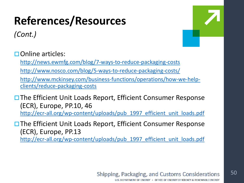*(Cont.)*

50

**□Online articles:** 

<http://news.ewmfg.com/blog/7-ways-to-reduce-packaging-costs>

<http://www.nosco.com/blog/5-ways-to-reduce-packaging-costs/>

[http://www.mckinsey.com/business-functions/operations/how-we-help](http://www.mckinsey.com/business-functions/operations/how-we-help-clients/reduce-packaging-costs)clients/reduce-packaging-costs

**□ The Efficient Unit Loads Report, Efficient Consumer Response** (ECR), Europe, PP.10, 46 [http://ecr-all.org/wp-content/uploads/pub\\_1997\\_efficient\\_unit\\_loads.pdf](http://ecr-all.org/wp-content/uploads/pub_1997_efficient_unit_loads.pdf)

**□ The Efficient Unit Loads Report, Efficient Consumer Response** (ECR), Europe, PP.13 [http://ecr-all.org/wp-content/uploads/pub\\_1997\\_efficient\\_unit\\_loads.pdf](http://ecr-all.org/wp-content/uploads/pub_1997_efficient_unit_loads.pdf)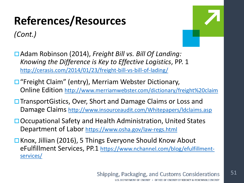*(Cont.)*



Adam Robinson (2014), *Freight Bill vs. Bill Of Landing: Knowing the Difference is Key to Effective Logistics*, PP. 1 <http://cerasis.com/2014/01/23/freight-bill-vs-bill-of-lading/>

- □ "Freight Claim" (entry), Merriam Webster Dictionary, Online Edition <http://www.merriamwebster.com/dictionary/freight%20claim>
- **□ TransportGistics, Over, Short and Damage Claims or Loss and** Damage Claims http://www.insourceaudit.com/Whitepapers/Idclaims.asp
- **□ Occupational Safety and Health Administration, United States** Department of Labor<https://www.osha.gov/law-regs.html>
- □ Knox, Jillian (2016), 5 Things Everyone Should Know About [eFulfillment Services, PP.1 https://www.nchannel.com/blog/efulfillment](https://www.nchannel.com/blog/efulfillment-services/)services/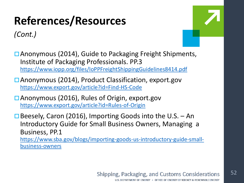### *(Cont.)*



**□ Anonymous (2014), Guide to Packaging Freight Shipments,** Institute of Packaging Professionals. PP.3 <https://www.iopp.org/files/IoPPFreightShippingGuidelines8414.pdf>

Anonymous (2014), Product Classification, export.gov <https://www.export.gov/article?id=Find-HS-Code>

Anonymous (2016), Rules of Origin, export.gov <https://www.export.gov/article?id=Rules-of-Origin>

 $\Box$  Beesely, Caron (2016), Importing Goods into the U.S. – An Introductory Guide for Small Business Owners, Managing a Business, PP.1 [https://www.sba.gov/blogs/importing-goods-us-introductory-guide-small](https://www.sba.gov/blogs/importing-goods-us-introductory-guide-small-business-owners)business-owners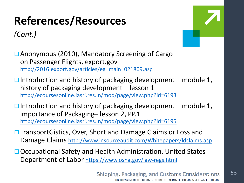*(Cont.)*



Anonymous (2010), Mandatory Screening of Cargo on Passenger Flights, export.gov [http://2016.export.gov/articles/eg\\_main\\_021809.asp](http://2016.export.gov/articles/eg_main_021809.asp)

 $\Box$  Introduction and history of packaging development – module 1, history of packaging development – lesson 1 <http://ecoursesonline.iasri.res.in/mod/page/view.php?id=6193>

 $\Box$  Introduction and history of packaging development – module 1, importance of Packaging– lesson 2, PP.1 <http://ecoursesonline.iasri.res.in/mod/page/view.php?id=6195>

- **□ TransportGistics, Over, Short and Damage Claims or Loss and** Damage Claims<http://www.insourceaudit.com/Whitepapers/ldclaims.asp>
- □ Occupational Safety and Health Administration, United States Department of Labor<https://www.osha.gov/law-regs.html>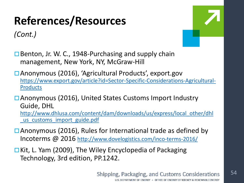*(Cont.)*



 $\Box$  Benton, Jr. W. C., 1948-Purchasing and supply chain management, New York, NY, McGraw-Hill

Anonymous (2016), 'Agricultural Products', export.gov [https://www.export.gov/article?id=Sector-Specific-Considerations-Agricultural-](https://www.export.gov/article?id=Sector-Specific-Considerations-Agricultural-Products)Products

Anonymous (2016), United States Customs Import Industry Guide, DHL [http://www.dhlusa.com/content/dam/downloads/us/express/local\\_other/dhl](http://www.dhlusa.com/content/dam/downloads/us/express/local_other/dhl_us_customs_import_guide.pdf) us customs import guide.pdf

- □ Anonymous (2016), Rules for International trade as defined by Incoterms @ 2016<http://www.dovelogistics.com/inco-terms-2016/>
- **□ Kit, L. Yam (2009), The Wiley Encyclopedia of Packaging** Technology, 3rd edition, PP.1242.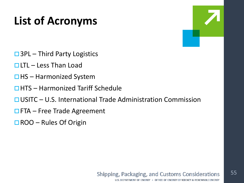### **List of Acronyms**

- $\Box$  3PL Third Party Logistics
- $\Box$  LTL Less Than Load
- $\Box$  HS Harmonized System
- $\Box$ HTS Harmonized Tariff Schedule
- USITC U.S. International Trade Administration Commission
- $\Box$  FTA Free Trade Agreement
- $\Box$  ROO Rules Of Origin

55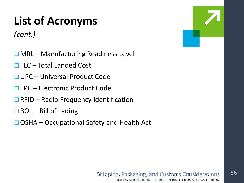## **List of Acronyms**

*(cont.)*

- $\Box$  MRL Manufacturing Readiness Level
- $\Box$  TLC Total Landed Cost
- UPC Universal Product Code
- EPC Electronic Product Code
- $\Box$  RFID Radio Frequency Identification
- $\Box$  BOL Bill of Lading
- $\Box$  OSHA Occupational Safety and Health Act



56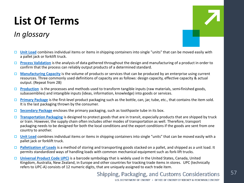# **List Of Terms**

### *In glossary*

- **[Unit Load](https://en.wikipedia.org/wiki/Unit_load)** combines individual items or items in shipping containers into single "units" that can be moved easily with a pallet jack or forklift truck.
- **[Process Validation](https://en.wikipedia.org/wiki/Process_validation)** is the analysis of data gathered throughout the design and manufacturing of a product in order to confirm that the process can reliably output products of a determined standard.
- **[Manufacturing Capacity](https://www.thebalance.com/measuring-capacity-in-manufacturing-2221213)** is the volume of products or services that can be produced by an enterprise using current resources. Three commonly used definitions of capacity are as follows: design capacity, effective capacity & actual output. (Repeat from 2B)
- **[Production](http://www.businessdictionary.com/definition/production.html)** is the processes and methods used to transform tangible inputs (raw materials, semi-finished goods, subassemblies) and intangible inputs (ideas, information, knowledge) into goods or services.
- **[Primary Package](http://www.businessdictionary.com/definition/primary-packaging.html)** is the first-level product packaging such as the bottle, can, jar, tube, etc., that contains the item sold. It is the last packaging thrown by the consumer.
- **[Secondary Package](http://www.businessdictionary.com/definition/secondary-packaging.html)** encloses the primary packaging, such as toothpaste tube in its box.
- **[Transportation Packaging](https://en.wikipedia.org/wiki/Packaging_and_labeling)** is designed to protect goods that are in transit, especially products that are shipped by truck or train. However, the supply chain often includes other modes of transportation as well. Therefore, transport packaging needs to be designed for both the local conditions and the export conditions if the goods are sent from one country to another.
- **[Unit Load](https://en.wikipedia.org/wiki/Unit_load)** combines individual items or items in shipping containers into single "units" that can be moved easily with a pallet jack or forklift truck.
- **[Palletization of Loads](http://www.businessdictionary.com/definition/palletization.html)** is a method of storing and transporting goods stacked on a pallet, and shipped as a unit load. It permits standardized ways of handling loads with common mechanical equipment such as fork-lift trucks.
- **[Universal Product Code UPC\)](https://en.wikipedia.org/wiki/Universal_Product_Code)** is a barcode symbology that is widely used in the United States, Canada, United Kingdom, Australia, New Zealand, in Europe and other countries for tracking trade items in stores. UPC (technically refers to UPC-A) consists of 12 numeric digits, that are uniquely assigned to each trade item.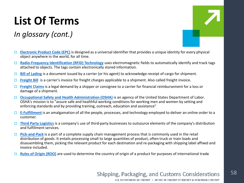# **List Of Terms**

### *In glossary (cont.)*

- **[Electronic Product Code \(EPC\)](https://en.wikipedia.org/wiki/Electronic_Product_Code)** is designed as a universal identifier that provides a unique identity for every physical object anywhere in the world, for all time.
- **[Radio-Frequency Identification \(RFID\) Technology](https://en.wikipedia.org/wiki/Radio-frequency_identification)** uses electromagnetic fields to automatically identify and track tags attached to objects. The tags contain electronically stored information.
- **[Bill of Lading](https://en.wikipedia.org/wiki/Bill_of_lading)** is a document issued by a carrier (or his agent) to acknowledge receipt of cargo for shipment.
- **[Freight Bill](http://www.businessdictionary.com/definition/freight-bill.html)** is a carrier's invoice for freight charges applicable to a shipment. Also called freight invoice.
- **[Freight Claims](https://en.wikipedia.org/wiki/Freight_claim)** is a legal demand by a shipper or consignee to a carrier for financial reimbursement for a loss or damage of a shipment.
- **[Occupational Safety and Health Administration \(OSHA\)](https://en.wikipedia.org/wiki/Occupational_Safety_and_Health_Administration)** is an agency of the United States Department of Labor. OSHA's mission is to "assure safe and healthful working conditions for working men and women by setting and enforcing standards and by providing training, outreach, education and assistance"
- **[E-Fulfillment](http://www.inboundlogistics.com/cms/article/e-fulfillment-strategies-that-deliver-the-goods/)** is an amalgamation of all the people, processes, and technology employed to deliver an online order to a customer.
- **[Third Party Logistics](https://en.wikipedia.org/wiki/Third-party_logistics)** is a company's use of third-party businesses to outsource elements of the company's distribution and fulfillment services.
- **[Pick-and-Pack](https://en.wikipedia.org/wiki/Pick_and_pack)** is a part of a complete supply chain management process that is commonly used in the retail distribution of goods. It entails processing small to large quantities of product, often truck or train loads and disassembling them, picking the relevant product for each destination and re-packaging with shipping label affixed and invoice included.
- **[Rules of Origin \(ROO\)](https://en.wikipedia.org/wiki/Rules_of_origin)** are used to determine the country of origin of a product for purposes of international trade**.**